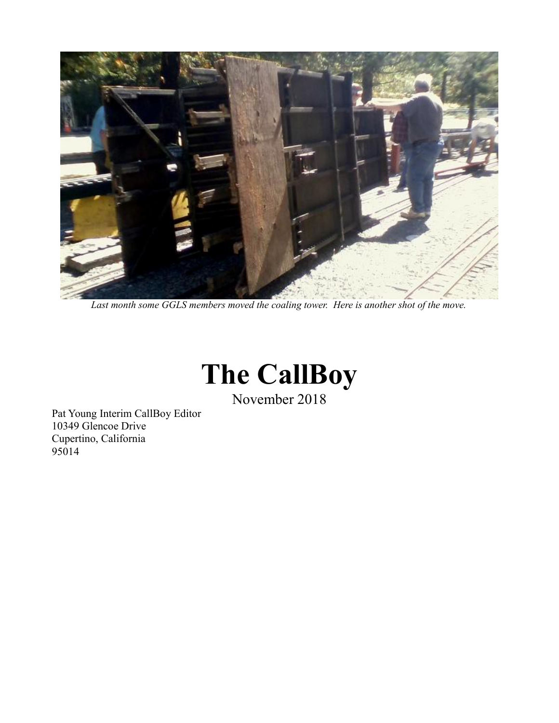

*Last month some GGLS members moved the coaling tower. Here is another shot of the move.*



November 2018

Pat Young Interim CallBoy Editor 10349 Glencoe Drive Cupertino, California 95014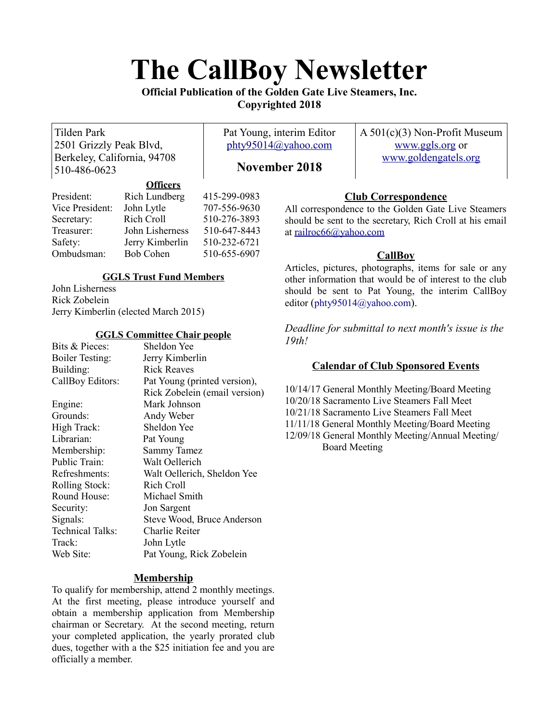# **The CallBoy Newsletter**

#### **Official Publication of the Golden Gate Live Steamers, Inc. Copyrighted 2018**

Tilden Park 2501 Grizzly Peak Blvd, Berkeley, California, 94708 510-486-0623

Pat Young, interim Editor [phty95014@yahoo.com](mailto:phty95014@yahoo.com)

A 501(c)(3) Non-Profit Museum [www.ggls.org](http://www.ggls.org/) or [www.goldengatels.org](http://www.goldengatels.org/)

### **November 2018**

|                 | <b>VIIItus</b>   |              |
|-----------------|------------------|--------------|
| President:      | Rich Lundberg    | 415-299-0983 |
| Vice President: | John Lytle       | 707-556-9630 |
| Secretary:      | Rich Croll       | 510-276-3893 |
| Treasurer:      | John Lisherness  | 510-647-8443 |
| Safety:         | Jerry Kimberlin  | 510-232-6721 |
| Ombudsman:      | <b>Bob Cohen</b> | 510-655-6907 |
|                 |                  |              |

**Officers**

#### **GGLS Trust Fund Members**

John Lisherness Rick Zobelein Jerry Kimberlin (elected March 2015)

#### **GGLS Committee Chair people**

| Bits & Pieces:          | Sheldon Yee                   |  |
|-------------------------|-------------------------------|--|
| <b>Boiler Testing:</b>  | Jerry Kimberlin               |  |
| Building:               | <b>Rick Reaves</b>            |  |
| CallBoy Editors:        | Pat Young (printed version),  |  |
|                         | Rick Zobelein (email version) |  |
| Engine:                 | Mark Johnson                  |  |
| Grounds:                | Andy Weber                    |  |
| High Track:             | Sheldon Yee                   |  |
| Librarian:              | Pat Young                     |  |
| Membership:             | <b>Sammy Tamez</b>            |  |
| Public Train:           | Walt Oellerich                |  |
| Refreshments:           | Walt Oellerich, Sheldon Yee   |  |
| Rolling Stock:          | Rich Croll                    |  |
| Round House:            | Michael Smith                 |  |
| Security:               | Jon Sargent                   |  |
| Signals:                | Steve Wood, Bruce Anderson    |  |
| <b>Technical Talks:</b> | Charlie Reiter                |  |
| Track:                  | John Lytle                    |  |
| Web Site:               | Pat Young, Rick Zobelein      |  |
|                         |                               |  |

#### **Membership**

To qualify for membership, attend 2 monthly meetings. At the first meeting, please introduce yourself and obtain a membership application from Membership chairman or Secretary. At the second meeting, return your completed application, the yearly prorated club dues, together with a the \$25 initiation fee and you are officially a member.

#### **Club Correspondence**

All correspondence to the Golden Gate Live Steamers should be sent to the secretary, Rich Croll at his email at [railroc66@yahoo.com](mailto:railroc66@yahoo.com)

#### **CallBoy**

Articles, pictures, photographs, items for sale or any other information that would be of interest to the club should be sent to Pat Young, the interim CallBoy editor ([phty95014@yahoo.com](mailto:phty95014@yahoo.com)).

*Deadline for submittal to next month's issue is the 19th!*

#### **Calendar of Club Sponsored Events**

10/14/17 General Monthly Meeting/Board Meeting 10/20/18 Sacramento Live Steamers Fall Meet 10/21/18 Sacramento Live Steamers Fall Meet 11/11/18 General Monthly Meeting/Board Meeting 12/09/18 General Monthly Meeting/Annual Meeting/ Board Meeting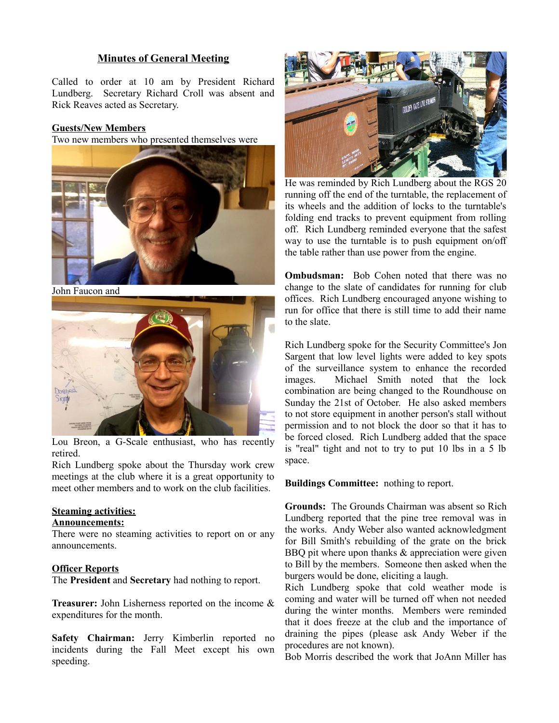#### **Minutes of General Meeting**

Called to order at 10 am by President Richard Lundberg. Secretary Richard Croll was absent and Rick Reaves acted as Secretary.

#### **Guests/New Members**

Two new members who presented themselves were



John Faucon and



Lou Breon, a G-Scale enthusiast, who has recently retired.

Rich Lundberg spoke about the Thursday work crew meetings at the club where it is a great opportunity to meet other members and to work on the club facilities.

#### **Steaming activities:**

#### **Announcements:**

There were no steaming activities to report on or any announcements.

#### **Officer Reports**

The **President** and **Secretary** had nothing to report.

**Treasurer:** John Lisherness reported on the income & expenditures for the month.

**Safety Chairman:** Jerry Kimberlin reported no incidents during the Fall Meet except his own speeding.



He was reminded by Rich Lundberg about the RGS 20 running off the end of the turntable, the replacement of its wheels and the addition of locks to the turntable's folding end tracks to prevent equipment from rolling off. Rich Lundberg reminded everyone that the safest way to use the turntable is to push equipment on/off the table rather than use power from the engine.

**Ombudsman:** Bob Cohen noted that there was no change to the slate of candidates for running for club offices. Rich Lundberg encouraged anyone wishing to run for office that there is still time to add their name to the slate.

Rich Lundberg spoke for the Security Committee's Jon Sargent that low level lights were added to key spots of the surveillance system to enhance the recorded images. Michael Smith noted that the lock combination are being changed to the Roundhouse on Sunday the 21st of October. He also asked members to not store equipment in another person's stall without permission and to not block the door so that it has to be forced closed. Rich Lundberg added that the space is "real" tight and not to try to put 10 lbs in a 5 lb space.

#### **Buildings Committee:** nothing to report.

**Grounds:** The Grounds Chairman was absent so Rich Lundberg reported that the pine tree removal was in the works. Andy Weber also wanted acknowledgment for Bill Smith's rebuilding of the grate on the brick BBQ pit where upon thanks & appreciation were given to Bill by the members. Someone then asked when the burgers would be done, eliciting a laugh.

Rich Lundberg spoke that cold weather mode is coming and water will be turned off when not needed during the winter months. Members were reminded that it does freeze at the club and the importance of draining the pipes (please ask Andy Weber if the procedures are not known).

Bob Morris described the work that JoAnn Miller has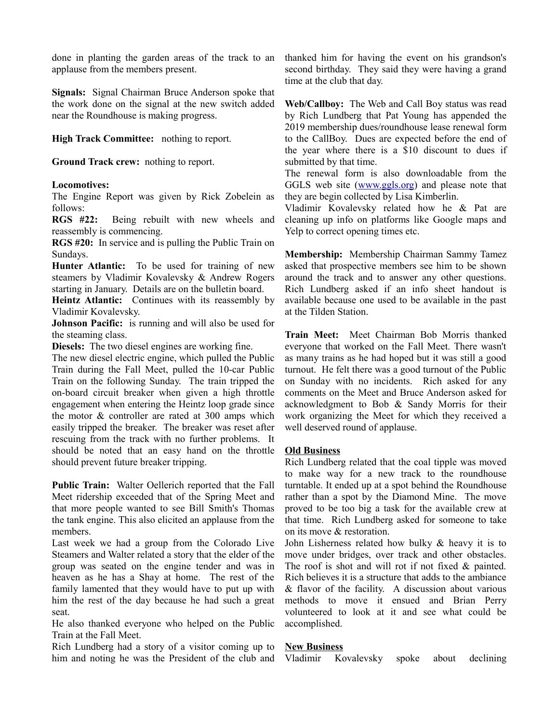done in planting the garden areas of the track to an applause from the members present.

**Signals:** Signal Chairman Bruce Anderson spoke that the work done on the signal at the new switch added near the Roundhouse is making progress.

**High Track Committee:** nothing to report.

**Ground Track crew:** nothing to report.

#### **Locomotives:**

The Engine Report was given by Rick Zobelein as follows:

**RGS #22:** Being rebuilt with new wheels and reassembly is commencing.

**RGS #20:** In service and is pulling the Public Train on Sundays.

**Hunter Atlantic:** To be used for training of new steamers by Vladimir Kovalevsky & Andrew Rogers starting in January. Details are on the bulletin board.

**Heintz Atlantic:** Continues with its reassembly by Vladimir Kovalevsky.

**Johnson Pacific:** is running and will also be used for the steaming class.

**Diesels:** The two diesel engines are working fine.

The new diesel electric engine, which pulled the Public Train during the Fall Meet, pulled the 10-car Public Train on the following Sunday. The train tripped the on-board circuit breaker when given a high throttle engagement when entering the Heintz loop grade since the motor & controller are rated at 300 amps which easily tripped the breaker. The breaker was reset after rescuing from the track with no further problems. It should be noted that an easy hand on the throttle should prevent future breaker tripping.

**Public Train:** Walter Oellerich reported that the Fall Meet ridership exceeded that of the Spring Meet and that more people wanted to see Bill Smith's Thomas the tank engine. This also elicited an applause from the members.

Last week we had a group from the Colorado Live Steamers and Walter related a story that the elder of the group was seated on the engine tender and was in heaven as he has a Shay at home. The rest of the family lamented that they would have to put up with him the rest of the day because he had such a great seat.

He also thanked everyone who helped on the Public Train at the Fall Meet.

Rich Lundberg had a story of a visitor coming up to him and noting he was the President of the club and thanked him for having the event on his grandson's second birthday. They said they were having a grand time at the club that day.

**Web/Callboy:** The Web and Call Boy status was read by Rich Lundberg that Pat Young has appended the 2019 membership dues/roundhouse lease renewal form to the CallBoy. Dues are expected before the end of the year where there is a \$10 discount to dues if submitted by that time.

The renewal form is also downloadable from the GGLS web site [\(www.ggls.org\)](http://www.ggls.org/) and please note that they are begin collected by Lisa Kimberlin.

Vladimir Kovalevsky related how he & Pat are cleaning up info on platforms like Google maps and Yelp to correct opening times etc.

**Membership:** Membership Chairman Sammy Tamez asked that prospective members see him to be shown around the track and to answer any other questions. Rich Lundberg asked if an info sheet handout is available because one used to be available in the past at the Tilden Station.

**Train Meet:** Meet Chairman Bob Morris thanked everyone that worked on the Fall Meet. There wasn't as many trains as he had hoped but it was still a good turnout. He felt there was a good turnout of the Public on Sunday with no incidents. Rich asked for any comments on the Meet and Bruce Anderson asked for acknowledgment to Bob & Sandy Morris for their work organizing the Meet for which they received a well deserved round of applause.

#### **Old Business**

Rich Lundberg related that the coal tipple was moved to make way for a new track to the roundhouse turntable. It ended up at a spot behind the Roundhouse rather than a spot by the Diamond Mine. The move proved to be too big a task for the available crew at that time. Rich Lundberg asked for someone to take on its move & restoration.

John Lisherness related how bulky & heavy it is to move under bridges, over track and other obstacles. The roof is shot and will rot if not fixed & painted. Rich believes it is a structure that adds to the ambiance & flavor of the facility. A discussion about various methods to move it ensued and Brian Perry volunteered to look at it and see what could be accomplished.

#### **New Business**

Vladimir Kovalevsky spoke about declining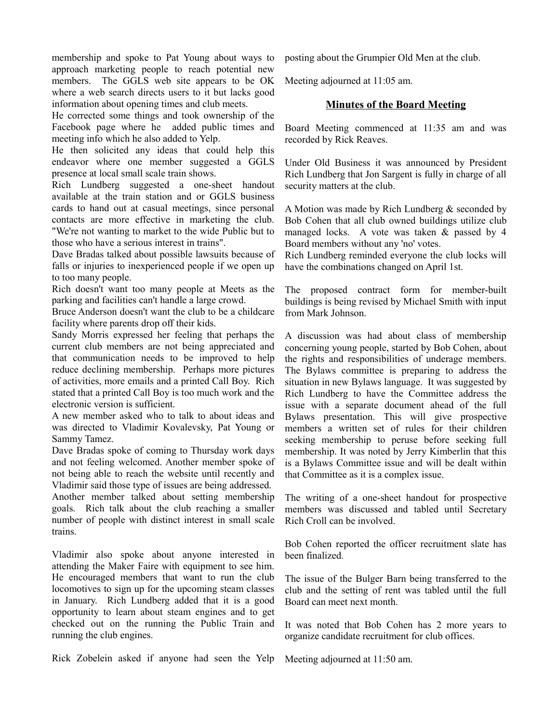membership and spoke to Pat Young about ways to approach marketing people to reach potential new members. The GGLS web site appears to be OK where a web search directs users to it but lacks good information about opening times and club meets.

He corrected some things and took ownership of the Facebook page where he added public times and meeting info which he also added to Yelp.

He then solicited any ideas that could help this endeavor where one member suggested a GGLS presence at local small scale train shows.

Rich Lundberg suggested a one-sheet handout available at the train station and or GGLS business cards to hand out at casual meetings, since personal contacts are more effective in marketing the club. "We're not wanting to market to the wide Public but to those who have a serious interest in trains".

Dave Bradas talked about possible lawsuits because of falls or injuries to inexperienced people if we open up to too many people.

Rich doesn't want too many people at Meets as the parking and facilities can't handle a large crowd.

Bruce Anderson doesn't want the club to be a childcare facility where parents drop off their kids.

Sandy Morris expressed her feeling that perhaps the current club members are not being appreciated and that communication needs to be improved to help reduce declining membership. Perhaps more pictures of activities, more emails and a printed Call Boy. Rich stated that a printed Call Boy is too much work and the electronic version is sufficient.

A new member asked who to talk to about ideas and was directed to Vladimir Kovalevsky, Pat Young or Sammy Tamez.

Dave Bradas spoke of coming to Thursday work days and not feeling welcomed. Another member spoke of not being able to reach the website until recently and Vladimir said those type of issues are being addressed.

Another member talked about setting membership goals. Rich talk about the club reaching a smaller number of people with distinct interest in small scale trains.

Vladimir also spoke about anyone interested in attending the Maker Faire with equipment to see him. He encouraged members that want to run the club locomotives to sign up for the upcoming steam classes in January. Rich Lundberg added that it is a good opportunity to learn about steam engines and to get checked out on the running the Public Train and running the club engines.

Rick Zobelein asked if anyone had seen the Yelp

posting about the Grumpier Old Men at the club.

Meeting adjourned at 11:05 am.

#### **Minutes of the Board Meeting**

Board Meeting commenced at 11:35 am and was recorded by Rick Reaves.

Under Old Business it was announced by President Rich Lundberg that Jon Sargent is fully in charge of all security matters at the club.

A Motion was made by Rich Lundberg & seconded by Bob Cohen that all club owned buildings utilize club managed locks. A vote was taken & passed by 4 Board members without any 'no' votes.

Rich Lundberg reminded everyone the club locks will have the combinations changed on April 1st.

The proposed contract form for member-built buildings is being revised by Michael Smith with input from Mark Johnson.

A discussion was had about class of membership concerning young people, started by Bob Cohen, about the rights and responsibilities of underage members. The Bylaws committee is preparing to address the situation in new Bylaws language. It was suggested by Rich Lundberg to have the Committee address the issue with a separate document ahead of the full Bylaws presentation. This will give prospective members a written set of rules for their children seeking membership to peruse before seeking full membership. It was noted by Jerry Kimberlin that this is a Bylaws Committee issue and will be dealt within that Committee as it is a complex issue.

The writing of a one-sheet handout for prospective members was discussed and tabled until Secretary Rich Croll can be involved.

Bob Cohen reported the officer recruitment slate has been finalized.

The issue of the Bulger Barn being transferred to the club and the setting of rent was tabled until the full Board can meet next month.

It was noted that Bob Cohen has 2 more years to organize candidate recruitment for club offices.

Meeting adjourned at 11:50 am.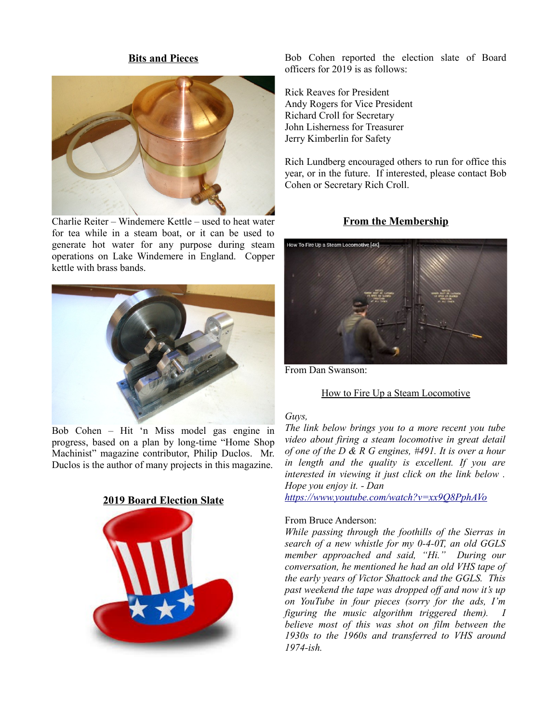#### **Bits and Pieces**



Charlie Reiter – Windemere Kettle – used to heat water for tea while in a steam boat, or it can be used to generate hot water for any purpose during steam operations on Lake Windemere in England. Copper kettle with brass bands.



Bob Cohen – Hit 'n Miss model gas engine in progress, based on a plan by long-time "Home Shop Machinist" magazine contributor, Philip Duclos. Mr. Duclos is the author of many projects in this magazine.





Bob Cohen reported the election slate of Board officers for 2019 is as follows:

Rick Reaves for President Andy Rogers for Vice President Richard Croll for Secretary John Lisherness for Treasurer Jerry Kimberlin for Safety

Rich Lundberg encouraged others to run for office this year, or in the future. If interested, please contact Bob Cohen or Secretary Rich Croll.

#### **From the Membership**



From Dan Swanson:

#### How to Fire Up a Steam Locomotive

#### *Guys,*

*The link below brings you to a more recent you tube video about firing a steam locomotive in great detail of one of the D & R G engines, #491. It is over a hour in length and the quality is excellent. If you are interested in viewing it just click on the link below . Hope you enjoy it. - Dan* 

*<https://www.youtube.com/watch?v=xx9Q8PphAVo>*

#### From Bruce Anderson:

*While passing through the foothills of the Sierras in search of a new whistle for my 0-4-0T, an old GGLS member approached and said, "Hi." During our conversation, he mentioned he had an old VHS tape of the early years of Victor Shattock and the GGLS. This past weekend the tape was dropped off and now it's up on YouTube in four pieces (sorry for the ads, I'm figuring the music algorithm triggered them). I believe most of this was shot on film between the 1930s to the 1960s and transferred to VHS around 1974-ish.*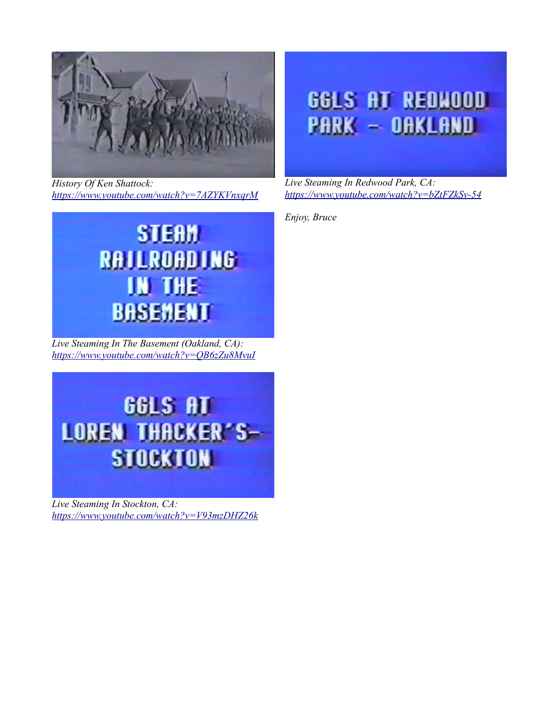

*History Of Ken Shattock: <https://www.youtube.com/watch?v=7AZYKVnxqrM>*



*Live Steaming In The Basement (Oakland, CA): <https://www.youtube.com/watch?v=QB6zZu8MvuI>*



*Live Steaming In Stockton, CA: <https://www.youtube.com/watch?v=V93mzDHZ26k>*

## **GGLS AT REDHOOD PARK - OAKLAND**

*Live Steaming In Redwood Park, CA: <https://www.youtube.com/watch?v=bZtFZkSv-54>*

*Enjoy, Bruce*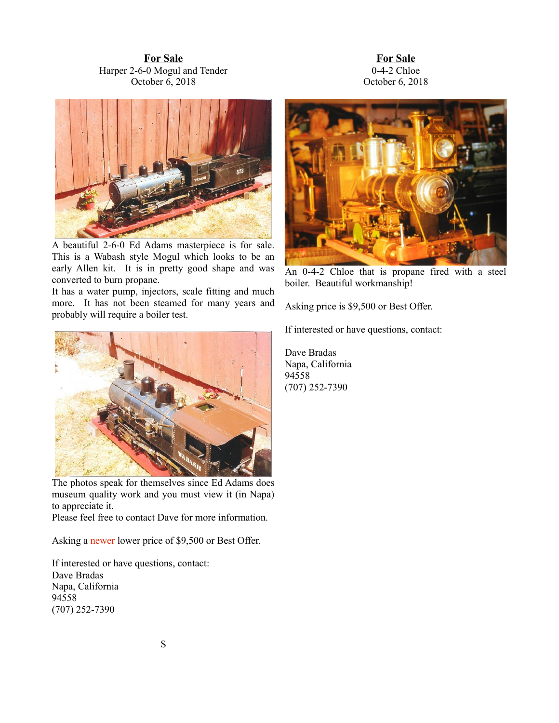**For Sale** Harper 2-6-0 Mogul and Tender October 6, 2018





A beautiful 2-6-0 Ed Adams masterpiece is for sale. This is a Wabash style Mogul which looks to be an early Allen kit. It is in pretty good shape and was converted to burn propane.

It has a water pump, injectors, scale fitting and much more. It has not been steamed for many years and probably will require a boiler test.



The photos speak for themselves since Ed Adams does museum quality work and you must view it (in Napa) to appreciate it.

Please feel free to contact Dave for more information.

Asking a newer lower price of \$9,500 or Best Offer.

If interested or have questions, contact: Dave Bradas Napa, California 94558 (707) 252-7390



An 0-4-2 Chloe that is propane fired with a steel boiler. Beautiful workmanship!

Asking price is \$9,500 or Best Offer.

If interested or have questions, contact:

Dave Bradas Napa, California 94558 (707) 252-7390